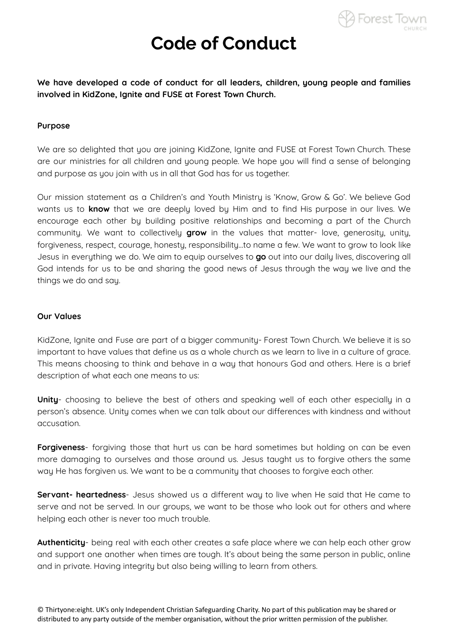

**We have developed a code of conduct for all leaders, children, young people and families involved in KidZone, Ignite and FUSE at Forest Town Church.**

#### **Purpose**

We are so delighted that you are joining KidZone, Ignite and FUSE at Forest Town Church. These are our ministries for all children and young people. We hope you will find a sense of belonging and purpose as you join with us in all that God has for us together.

Our mission statement as a Children's and Youth Ministry is 'Know, Grow & Go'. We believe God wants us to **know** that we are deeply loved by Him and to find His purpose in our lives. We encourage each other by building positive relationships and becoming a part of the Church community. We want to collectively **grow** in the values that matter- love, generosity, unity, forgiveness, respect, courage, honesty, responsibility…to name a few. We want to grow to look like Jesus in everything we do. We aim to equip ourselves to **go** out into our daily lives, discovering all God intends for us to be and sharing the good news of Jesus through the way we live and the things we do and say.

#### **Our Values**

KidZone, Ignite and Fuse are part of a bigger community- Forest Town Church. We believe it is so important to have values that define us as a whole church as we learn to live in a culture of grace. This means choosing to think and behave in a way that honours God and others. Here is a brief description of what each one means to us:

**Unity**- choosing to believe the best of others and speaking well of each other especially in a person's absence. Unity comes when we can talk about our differences with kindness and without accusation.

**Forgiveness**- forgiving those that hurt us can be hard sometimes but holding on can be even more damaging to ourselves and those around us. Jesus taught us to forgive others the same way He has forgiven us. We want to be a community that chooses to forgive each other.

**Servant- heartedness**- Jesus showed us a different way to live when He said that He came to serve and not be served. In our groups, we want to be those who look out for others and where helping each other is never too much trouble.

**Authenticity**- being real with each other creates a safe place where we can help each other grow and support one another when times are tough. It's about being the same person in public, online and in private. Having integrity but also being willing to learn from others.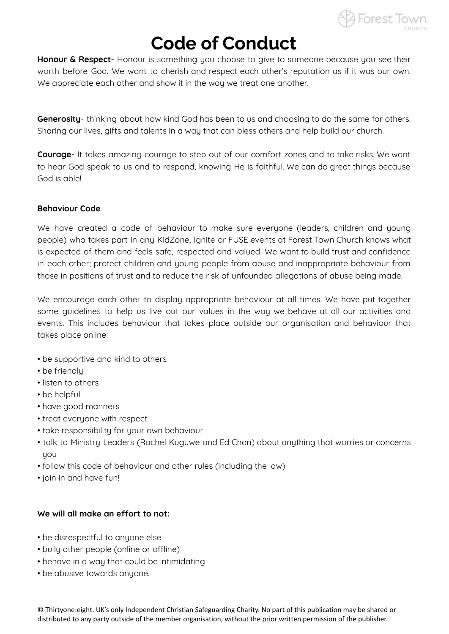

**Honour & Respect**- Honour is something you choose to give to someone because you see their worth before God. We want to cherish and respect each other's reputation as if it was our own. We appreciate each other and show it in the way we treat one another.

**Generosity**- thinking about how kind God has been to us and choosing to do the same for others. Sharing our lives, gifts and talents in a way that can bless others and help build our church.

**Courage**- It takes amazing courage to step out of our comfort zones and to take risks. We want to hear God speak to us and to respond, knowing He is faithful. We can do great things because God is able!

#### **Behaviour Code**

We have created a code of behaviour to make sure everyone (leaders, children and young people) who takes part in any KidZone, Ignite or FUSE events at Forest Town Church knows what is expected of them and feels safe, respected and valued. We want to build trust and confidence in each other; protect children and young people from abuse and inappropriate behaviour from those in positions of trust and to reduce the risk of unfounded allegations of abuse being made.

We encourage each other to display appropriate behaviour at all times. We have put together some guidelines to help us live out our values in the way we behave at all our activities and events. This includes behaviour that takes place outside our organisation and behaviour that takes place online:

- be supportive and kind to others
- be friendly
- listen to others
- be helpful
- have good manners
- treat everyone with respect
- take responsibility for your own behaviour
- talk to Ministry Leaders (Rachel Kuguwe and Ed Chan) about anything that worries or concerns you
- follow this code of behaviour and other rules (including the law)
- join in and have fun!

## **We will all make an effort to not:**

- be disrespectful to anyone else
- bully other people (online or offline)
- behave in a way that could be intimidating
- be abusive towards anyone.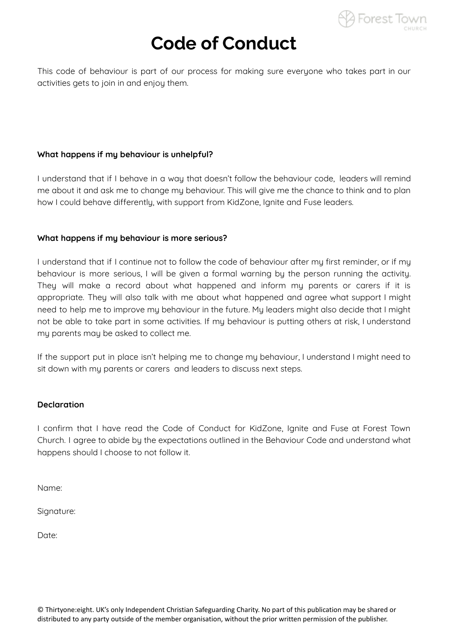

This code of behaviour is part of our process for making sure everyone who takes part in our activities gets to join in and enjoy them.

## **What happens if my behaviour is unhelpful?**

I understand that if I behave in a way that doesn't follow the behaviour code, leaders will remind me about it and ask me to change my behaviour. This will give me the chance to think and to plan how I could behave differently, with support from KidZone, Ignite and Fuse leaders.

#### **What happens if my behaviour is more serious?**

I understand that if I continue not to follow the code of behaviour after my first reminder, or if my behaviour is more serious, I will be given a formal warning by the person running the activity. They will make a record about what happened and inform my parents or carers if it is appropriate. They will also talk with me about what happened and agree what support I might need to help me to improve mu behaviour in the future. Mu leaders might also decide that I might not be able to take part in some activities. If my behaviour is putting others at risk, I understand my parents may be asked to collect me.

If the support put in place isn't helping me to change my behaviour, I understand I might need to sit down with my parents or carers and leaders to discuss next steps.

#### **Declaration**

I confirm that I have read the Code of Conduct for KidZone, Ignite and Fuse at Forest Town Church. I agree to abide by the expectations outlined in the Behaviour Code and understand what happens should I choose to not follow it.

Name:

Signature:

Date: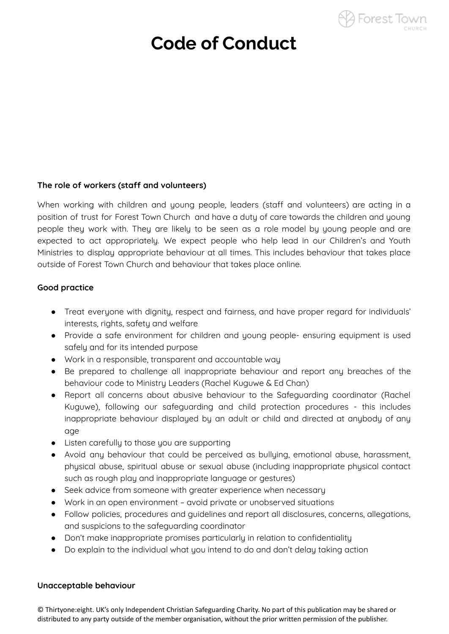

### **The role of workers (staff and volunteers)**

When working with children and young people, leaders (staff and volunteers) are acting in a position of trust for Forest Town Church and have a duty of care towards the children and young people they work with. They are likely to be seen as a role model by young people and are expected to act appropriately. We expect people who help lead in our Children's and Youth Ministries to display appropriate behaviour at all times. This includes behaviour that takes place outside of Forest Town Church and behaviour that takes place online.

### **Good practice**

- Treat everyone with dignity, respect and fairness, and have proper regard for individuals' interests, rights, safety and welfare
- Provide a safe environment for children and young people- ensuring equipment is used safely and for its intended purpose
- Work in a responsible, transparent and accountable way
- Be prepared to challenge all inappropriate behaviour and report any breaches of the behaviour code to Ministry Leaders (Rachel Kuguwe & Ed Chan)
- Report all concerns about abusive behaviour to the Safeguarding coordinator (Rachel Kuguwe), following our safeguarding and child protection procedures - this includes inappropriate behaviour displayed by an adult or child and directed at anybody of any age
- Listen carefully to those you are supporting
- Avoid any behaviour that could be perceived as bullying, emotional abuse, harassment, physical abuse, spiritual abuse or sexual abuse (including inappropriate physical contact such as rough play and inappropriate language or gestures)
- Seek advice from someone with greater experience when necessary
- Work in an open environment avoid private or unobserved situations
- Follow policies, procedures and guidelines and report all disclosures, concerns, allegations, and suspicions to the safeguarding coordinator
- Don't make inappropriate promises particularly in relation to confidentiality
- Do explain to the individual what you intend to do and don't delay taking action

## **Unacceptable behaviour**

© Thirtyone:eight. UK's only Independent Christian Safeguarding Charity. No part of this publication may be shared or distributed to any party outside of the member organisation, without the prior written permission of the publisher.